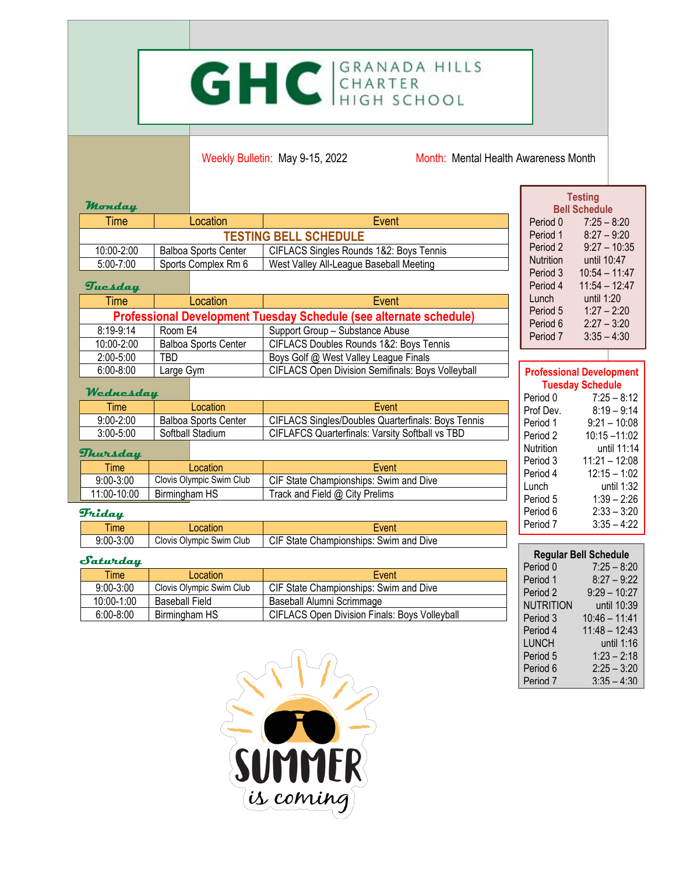## GHC GRANADA HILLS

Weekly Bulletin: May 9-15, 2022 Month: Mental Health Awareness Month

Г

| Monday                                    |                             |                             |                                                                    |                         | <b>Testing</b><br><b>Bell Schedule</b> |  |
|-------------------------------------------|-----------------------------|-----------------------------|--------------------------------------------------------------------|-------------------------|----------------------------------------|--|
| Time                                      |                             | Location                    | Event                                                              | Period 0                | $7:25 - 8:20$                          |  |
|                                           |                             |                             | <b>TESTING BELL SCHEDULE</b>                                       | Period 1                | $8:27 - 9:20$                          |  |
| 10:00-2:00<br><b>Balboa Sports Center</b> |                             |                             | CIFLACS Singles Rounds 1&2: Boys Tennis                            | Period 2                | $9:27 - 10:35$                         |  |
| 5:00-7:00                                 | Sports Complex Rm 6         |                             | West Valley All-League Baseball Meeting                            | <b>Nutrition</b>        | until 10:47                            |  |
|                                           |                             |                             |                                                                    | Period 3                | $10:54 - 11:47$                        |  |
| Tuesday                                   |                             |                             |                                                                    | Period 4                | $11:54 - 12:47$                        |  |
| Time                                      |                             | Location                    | Event                                                              | Lunch                   | until 1:20                             |  |
|                                           |                             |                             | Professional Development Tuesday Schedule (see alternate schedule) |                         | $1:27 - 2:20$<br>Period 5              |  |
| 8:19-9:14                                 | Room E4                     |                             | Support Group - Substance Abuse                                    | Period 6                | $2:27 - 3:20$                          |  |
| 10:00-2:00                                | <b>Balboa Sports Center</b> |                             | CIFLACS Doubles Rounds 1&2: Boys Tennis                            | Period 7                | $3:35 - 4:30$                          |  |
| 2:00-5:00                                 | TBD                         |                             | Boys Golf @ West Valley League Finals                              |                         |                                        |  |
| $6:00 - 8:00$                             | Large Gym                   |                             | CIFLACS Open Division Semifinals: Boys Volleyball                  |                         | <b>Professional Development</b>        |  |
|                                           |                             |                             |                                                                    | <b>Tuesday Schedule</b> |                                        |  |
| Wednesday                                 |                             |                             |                                                                    | Period 0                | $7:25 - 8:12$                          |  |
| <b>Time</b>                               |                             | Location                    | Event                                                              | Prof Dev.               | $8:19 - 9:14$                          |  |
| $9:00 - 2:00$                             |                             | <b>Balboa Sports Center</b> | CIFLACS Singles/Doubles Quarterfinals: Boys Tennis                 | Period 1                | $9:21 - 10:08$                         |  |
| 3:00-5:00                                 |                             | Softball Stadium            | <b>CIFLAFCS Quarterfinals: Varsity Softball vs TBD</b>             | Period 2                | $10:15 - 11:02$                        |  |
| Thursday                                  |                             |                             |                                                                    | <b>Nutrition</b>        | until 11:14                            |  |
| <b>Time</b>                               |                             | Location                    | Event                                                              | Period 3                | $11:21 - 12:08$                        |  |
| $9:00 - 3:00$                             |                             | Clovis Olympic Swim Club    | CIF State Championships: Swim and Dive                             | Period 4                | $12:15 - 1:02$                         |  |
| 11:00-10:00                               | Birmingham HS               |                             | Track and Field @ City Prelims                                     |                         | until 1:32<br>Lunch                    |  |
|                                           |                             |                             |                                                                    | Period 5                | $1:39 - 2:26$                          |  |
| <b>Friday</b>                             |                             |                             |                                                                    | Period 6<br>Period 7    | $2:33 - 3:20$                          |  |
| <b>Time</b>                               | Location                    |                             | Event                                                              |                         | $3:35 - 4:22$                          |  |
| $9:00 - 3:00$                             |                             | Clovis Olympic Swim Club    | CIF State Championships: Swim and Dive                             |                         |                                        |  |
| <b>Regular Bell Schedule</b><br>Saturday  |                             |                             |                                                                    |                         |                                        |  |
| Time                                      |                             | <b>Location</b>             | $E$ vont                                                           | Period 0                | $7:25 - 8:20$                          |  |

| <b>Time</b>   | Location                 | Event                                                |  |
|---------------|--------------------------|------------------------------------------------------|--|
| $9:00 - 3:00$ | Clovis Olympic Swim Club | CIF State Championships: Swim and Dive               |  |
| 10:00-1:00    | Baseball Field           | Baseball Alumni Scrimmage                            |  |
| $6:00 - 8:00$ | Birmingham HS            | <b>CIFLACS Open Division Finals: Boys Volleyball</b> |  |

| <b>Regular Bell Schedule</b> |                 |  |  |  |  |  |  |
|------------------------------|-----------------|--|--|--|--|--|--|
| Period 0                     | $7:25 - 8:20$   |  |  |  |  |  |  |
| Period 1                     | $8:27 - 9:22$   |  |  |  |  |  |  |
| Period 2                     | $9:29 - 10:27$  |  |  |  |  |  |  |
| <b>NUTRITION</b>             | until 10:39     |  |  |  |  |  |  |
| Period 3                     | $10:46 - 11:41$ |  |  |  |  |  |  |
| Period 4                     | $11:48 - 12:43$ |  |  |  |  |  |  |
| LUNCH                        | until 1:16      |  |  |  |  |  |  |
| Period 5                     | $1:23 - 2:18$   |  |  |  |  |  |  |
| Period 6                     | $2:25 - 3:20$   |  |  |  |  |  |  |
| Period 7                     | $3:35 - 4:30$   |  |  |  |  |  |  |